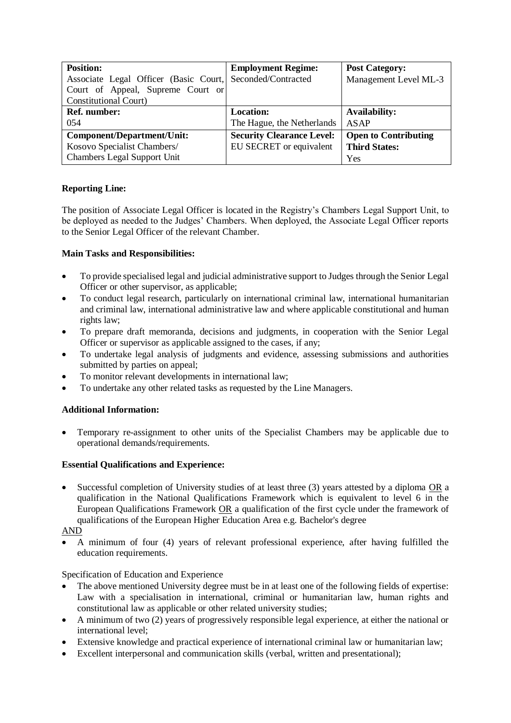| <b>Position:</b>                                          | <b>Employment Regime:</b>        | <b>Post Category:</b>       |
|-----------------------------------------------------------|----------------------------------|-----------------------------|
| Associate Legal Officer (Basic Court, Seconded/Contracted |                                  | Management Level ML-3       |
| Court of Appeal, Supreme Court or                         |                                  |                             |
| <b>Constitutional Court)</b>                              |                                  |                             |
| <b>Ref.</b> number:                                       | <b>Location:</b>                 | <b>Availability:</b>        |
| 054                                                       | The Hague, the Netherlands       | ASAP                        |
| Component/Department/Unit:                                | <b>Security Clearance Level:</b> | <b>Open to Contributing</b> |
| Kosovo Specialist Chambers/                               | EU SECRET or equivalent          | <b>Third States:</b>        |
| <b>Chambers Legal Support Unit</b>                        |                                  | Yes                         |

# **Reporting Line:**

The position of Associate Legal Officer is located in the Registry's Chambers Legal Support Unit, to be deployed as needed to the Judges' Chambers. When deployed, the Associate Legal Officer reports to the Senior Legal Officer of the relevant Chamber.

## **Main Tasks and Responsibilities:**

- To provide specialised legal and judicial administrative support to Judges through the Senior Legal Officer or other supervisor, as applicable;
- To conduct legal research, particularly on international criminal law, international humanitarian and criminal law, international administrative law and where applicable constitutional and human rights law;
- To prepare draft memoranda, decisions and judgments, in cooperation with the Senior Legal Officer or supervisor as applicable assigned to the cases, if any;
- To undertake legal analysis of judgments and evidence, assessing submissions and authorities submitted by parties on appeal;
- To monitor relevant developments in international law;
- To undertake any other related tasks as requested by the Line Managers.

## **Additional Information:**

• Temporary re-assignment to other units of the Specialist Chambers may be applicable due to operational demands/requirements.

## **Essential Qualifications and Experience:**

Successful completion of University studies of at least three (3) years attested by a diploma OR a qualification in the National Qualifications Framework which is equivalent to level 6 in the European Qualifications Framework OR a qualification of the first cycle under the framework of qualifications of the European Higher Education Area e.g. Bachelor's degree

## AND

• A minimum of four (4) years of relevant professional experience, after having fulfilled the education requirements.

## Specification of Education and Experience

- The above mentioned University degree must be in at least one of the following fields of expertise: Law with a specialisation in international, criminal or humanitarian law, human rights and constitutional law as applicable or other related university studies;
- A minimum of two (2) years of progressively responsible legal experience, at either the national or international level;
- Extensive knowledge and practical experience of international criminal law or humanitarian law;
- Excellent interpersonal and communication skills (verbal, written and presentational):